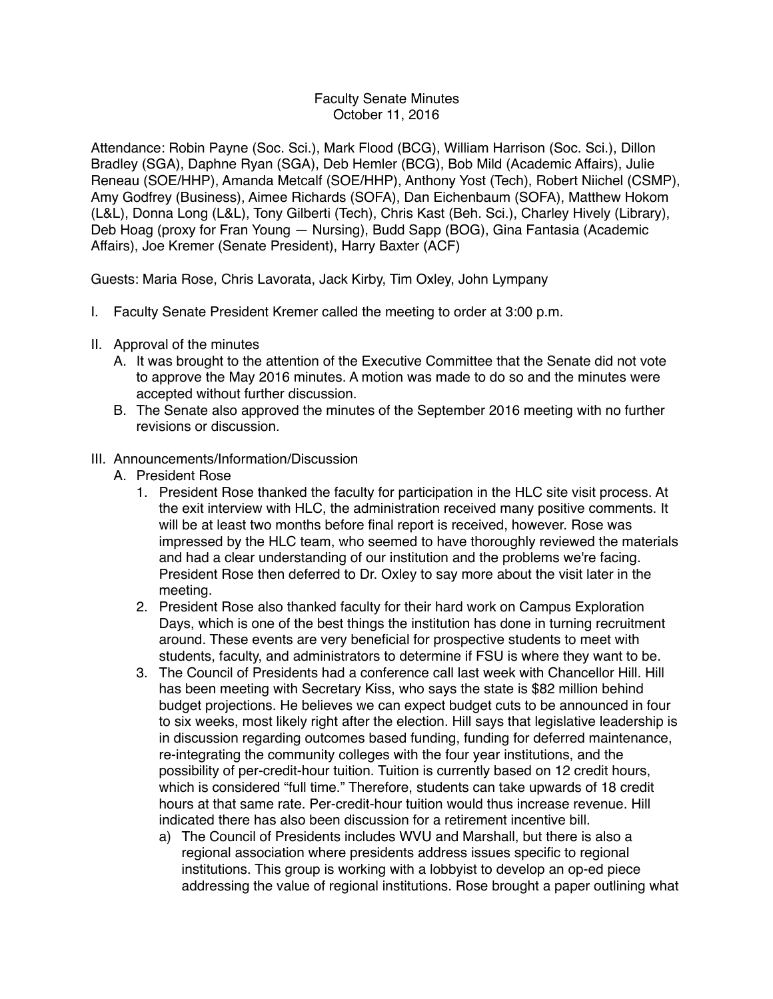## Faculty Senate Minutes October 11, 2016

Attendance: Robin Payne (Soc. Sci.), Mark Flood (BCG), William Harrison (Soc. Sci.), Dillon Bradley (SGA), Daphne Ryan (SGA), Deb Hemler (BCG), Bob Mild (Academic Affairs), Julie Reneau (SOE/HHP), Amanda Metcalf (SOE/HHP), Anthony Yost (Tech), Robert Niichel (CSMP), Amy Godfrey (Business), Aimee Richards (SOFA), Dan Eichenbaum (SOFA), Matthew Hokom (L&L), Donna Long (L&L), Tony Gilberti (Tech), Chris Kast (Beh. Sci.), Charley Hively (Library), Deb Hoag (proxy for Fran Young — Nursing), Budd Sapp (BOG), Gina Fantasia (Academic Affairs), Joe Kremer (Senate President), Harry Baxter (ACF)

Guests: Maria Rose, Chris Lavorata, Jack Kirby, Tim Oxley, John Lympany

- I. Faculty Senate President Kremer called the meeting to order at 3:00 p.m.
- II. Approval of the minutes
	- A. It was brought to the attention of the Executive Committee that the Senate did not vote to approve the May 2016 minutes. A motion was made to do so and the minutes were accepted without further discussion.
	- B. The Senate also approved the minutes of the September 2016 meeting with no further revisions or discussion.
- III. Announcements/Information/Discussion
	- A. President Rose
		- 1. President Rose thanked the faculty for participation in the HLC site visit process. At the exit interview with HLC, the administration received many positive comments. It will be at least two months before final report is received, however. Rose was impressed by the HLC team, who seemed to have thoroughly reviewed the materials and had a clear understanding of our institution and the problems we're facing. President Rose then deferred to Dr. Oxley to say more about the visit later in the meeting.
		- 2. President Rose also thanked faculty for their hard work on Campus Exploration Days, which is one of the best things the institution has done in turning recruitment around. These events are very beneficial for prospective students to meet with students, faculty, and administrators to determine if FSU is where they want to be.
		- 3. The Council of Presidents had a conference call last week with Chancellor Hill. Hill has been meeting with Secretary Kiss, who says the state is \$82 million behind budget projections. He believes we can expect budget cuts to be announced in four to six weeks, most likely right after the election. Hill says that legislative leadership is in discussion regarding outcomes based funding, funding for deferred maintenance, re-integrating the community colleges with the four year institutions, and the possibility of per-credit-hour tuition. Tuition is currently based on 12 credit hours, which is considered "full time." Therefore, students can take upwards of 18 credit hours at that same rate. Per-credit-hour tuition would thus increase revenue. Hill indicated there has also been discussion for a retirement incentive bill.
			- a) The Council of Presidents includes WVU and Marshall, but there is also a regional association where presidents address issues specific to regional institutions. This group is working with a lobbyist to develop an op-ed piece addressing the value of regional institutions. Rose brought a paper outlining what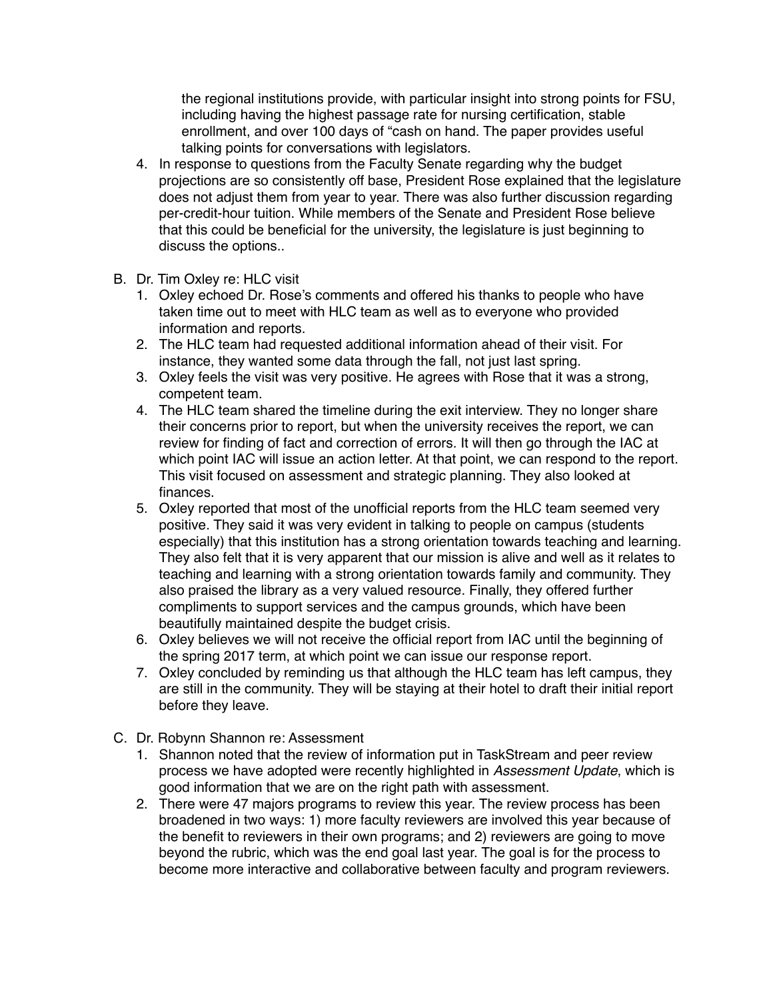the regional institutions provide, with particular insight into strong points for FSU, including having the highest passage rate for nursing certification, stable enrollment, and over 100 days of "cash on hand. The paper provides useful talking points for conversations with legislators.

- 4. In response to questions from the Faculty Senate regarding why the budget projections are so consistently off base, President Rose explained that the legislature does not adjust them from year to year. There was also further discussion regarding per-credit-hour tuition. While members of the Senate and President Rose believe that this could be beneficial for the university, the legislature is just beginning to discuss the options..
- B. Dr. Tim Oxley re: HLC visit
	- 1. Oxley echoed Dr. Rose's comments and offered his thanks to people who have taken time out to meet with HLC team as well as to everyone who provided information and reports.
	- 2. The HLC team had requested additional information ahead of their visit. For instance, they wanted some data through the fall, not just last spring.
	- 3. Oxley feels the visit was very positive. He agrees with Rose that it was a strong, competent team.
	- 4. The HLC team shared the timeline during the exit interview. They no longer share their concerns prior to report, but when the university receives the report, we can review for finding of fact and correction of errors. It will then go through the IAC at which point IAC will issue an action letter. At that point, we can respond to the report. This visit focused on assessment and strategic planning. They also looked at finances.
	- 5. Oxley reported that most of the unofficial reports from the HLC team seemed very positive. They said it was very evident in talking to people on campus (students especially) that this institution has a strong orientation towards teaching and learning. They also felt that it is very apparent that our mission is alive and well as it relates to teaching and learning with a strong orientation towards family and community. They also praised the library as a very valued resource. Finally, they offered further compliments to support services and the campus grounds, which have been beautifully maintained despite the budget crisis.
	- 6. Oxley believes we will not receive the official report from IAC until the beginning of the spring 2017 term, at which point we can issue our response report.
	- 7. Oxley concluded by reminding us that although the HLC team has left campus, they are still in the community. They will be staying at their hotel to draft their initial report before they leave.
- C. Dr. Robynn Shannon re: Assessment
	- 1. Shannon noted that the review of information put in TaskStream and peer review process we have adopted were recently highlighted in *Assessment Update*, which is good information that we are on the right path with assessment.
	- 2. There were 47 majors programs to review this year. The review process has been broadened in two ways: 1) more faculty reviewers are involved this year because of the benefit to reviewers in their own programs; and 2) reviewers are going to move beyond the rubric, which was the end goal last year. The goal is for the process to become more interactive and collaborative between faculty and program reviewers.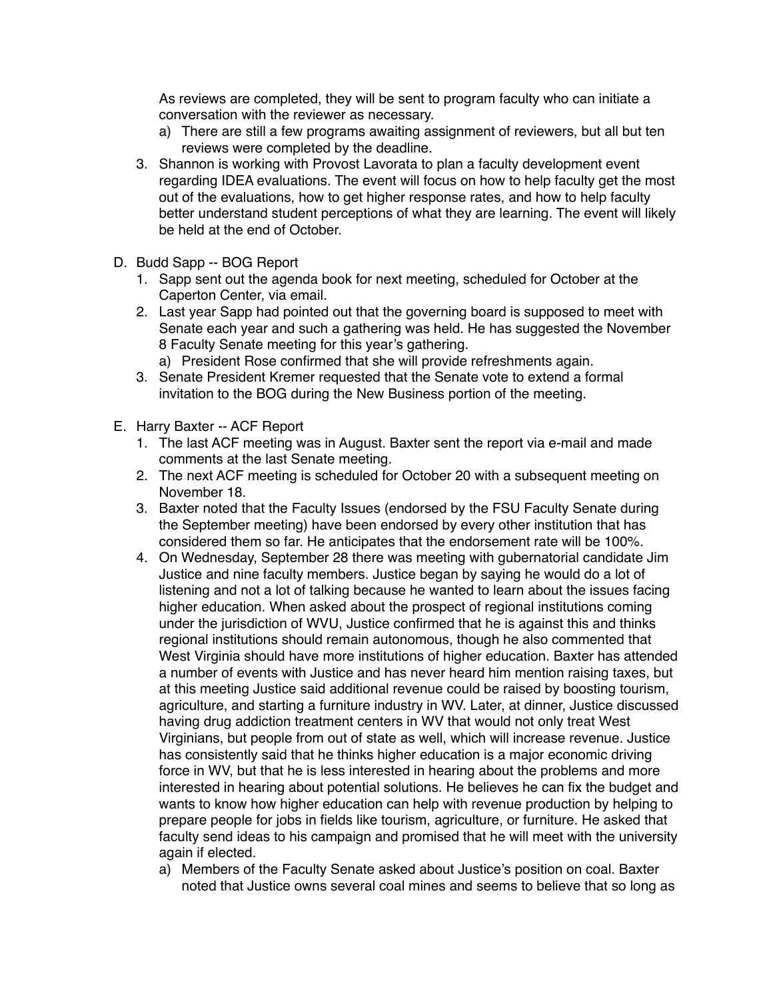As reviews are completed, they will be sent to program faculty who can initiate a conversation with the reviewer as necessary.

- a) There are still a few programs awaiting assignment of reviewers, but all but ten reviews were completed by the deadline.
- 3. Shannon is working with Provost Lavorata to plan a faculty development event regarding IDEA evaluations. The event will focus on how to help faculty get the most out of the evaluations, how to get higher response rates, and how to help faculty better understand student perceptions of what they are learning. The event will likely be held at the end of October.
- D. Budd Sapp -- BOG Report
	- 1. Sapp sent out the agenda book for next meeting, scheduled for October at the Caperton Center, via email.
	- 2. Last year Sapp had pointed out that the governing board is supposed to meet with Senate each year and such a gathering was held. He has suggested the November 8 Faculty Senate meeting for this year's gathering.
		- a) President Rose confirmed that she will provide refreshments again.
	- 3. Senate President Kremer requested that the Senate vote to extend a formal invitation to the BOG during the New Business portion of the meeting.
- E. Harry Baxter -- ACF Report
	- 1. The last ACF meeting was in August. Baxter sent the report via e-mail and made comments at the last Senate meeting.
	- 2. The next ACF meeting is scheduled for October 20 with a subsequent meeting on November 18.
	- 3. Baxter noted that the Faculty Issues (endorsed by the FSU Faculty Senate during the September meeting) have been endorsed by every other institution that has considered them so far. He anticipates that the endorsement rate will be 100%.
	- 4. On Wednesday, September 28 there was meeting with gubernatorial candidate Jim Justice and nine faculty members. Justice began by saying he would do a lot of listening and not a lot of talking because he wanted to learn about the issues facing higher education. When asked about the prospect of regional institutions coming under the jurisdiction of WVU, Justice confirmed that he is against this and thinks regional institutions should remain autonomous, though he also commented that West Virginia should have more institutions of higher education. Baxter has attended a number of events with Justice and has never heard him mention raising taxes, but at this meeting Justice said additional revenue could be raised by boosting tourism, agriculture, and starting a furniture industry in WV. Later, at dinner, Justice discussed having drug addiction treatment centers in WV that would not only treat West Virginians, but people from out of state as well, which will increase revenue. Justice has consistently said that he thinks higher education is a major economic driving force in WV, but that he is less interested in hearing about the problems and more interested in hearing about potential solutions. He believes he can fix the budget and wants to know how higher education can help with revenue production by helping to prepare people for jobs in fields like tourism, agriculture, or furniture. He asked that faculty send ideas to his campaign and promised that he will meet with the university again if elected.
		- a) Members of the Faculty Senate asked about Justice's position on coal. Baxter noted that Justice owns several coal mines and seems to believe that so long as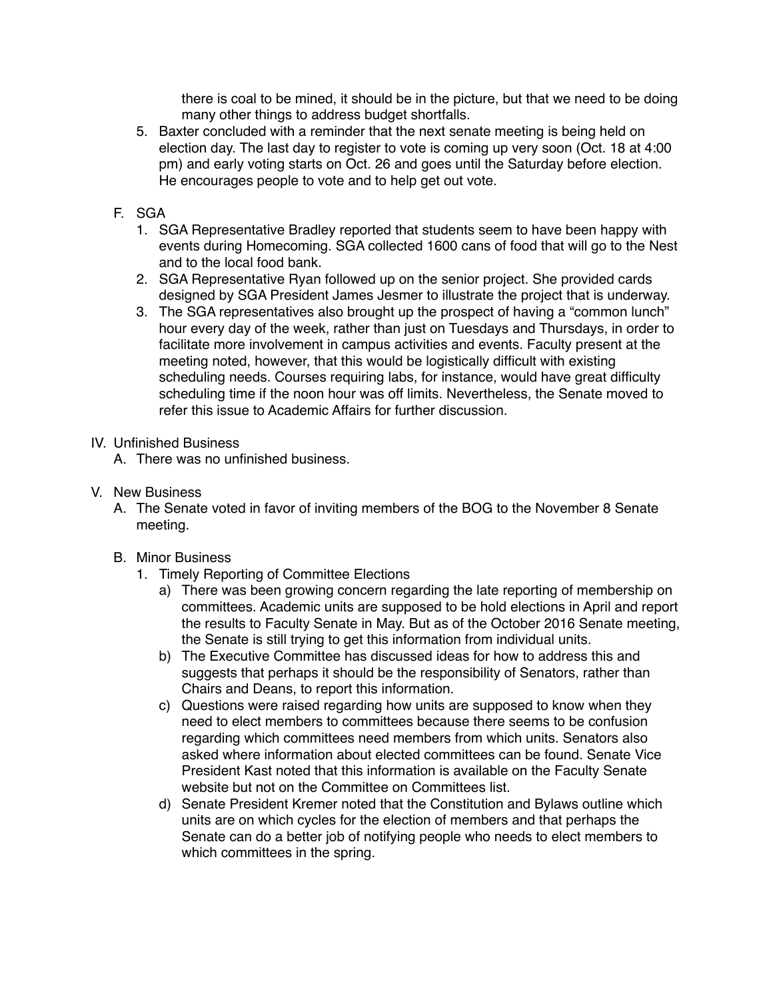there is coal to be mined, it should be in the picture, but that we need to be doing many other things to address budget shortfalls.

- 5. Baxter concluded with a reminder that the next senate meeting is being held on election day. The last day to register to vote is coming up very soon (Oct. 18 at 4:00 pm) and early voting starts on Oct. 26 and goes until the Saturday before election. He encourages people to vote and to help get out vote.
- F. SGA
	- 1. SGA Representative Bradley reported that students seem to have been happy with events during Homecoming. SGA collected 1600 cans of food that will go to the Nest and to the local food bank.
	- 2. SGA Representative Ryan followed up on the senior project. She provided cards designed by SGA President James Jesmer to illustrate the project that is underway.
	- 3. The SGA representatives also brought up the prospect of having a "common lunch" hour every day of the week, rather than just on Tuesdays and Thursdays, in order to facilitate more involvement in campus activities and events. Faculty present at the meeting noted, however, that this would be logistically difficult with existing scheduling needs. Courses requiring labs, for instance, would have great difficulty scheduling time if the noon hour was off limits. Nevertheless, the Senate moved to refer this issue to Academic Affairs for further discussion.
- IV. Unfinished Business
	- A. There was no unfinished business.
- V. New Business
	- A. The Senate voted in favor of inviting members of the BOG to the November 8 Senate meeting.
	- B. Minor Business
		- 1. Timely Reporting of Committee Elections
			- a) There was been growing concern regarding the late reporting of membership on committees. Academic units are supposed to be hold elections in April and report the results to Faculty Senate in May. But as of the October 2016 Senate meeting, the Senate is still trying to get this information from individual units.
			- b) The Executive Committee has discussed ideas for how to address this and suggests that perhaps it should be the responsibility of Senators, rather than Chairs and Deans, to report this information.
			- c) Questions were raised regarding how units are supposed to know when they need to elect members to committees because there seems to be confusion regarding which committees need members from which units. Senators also asked where information about elected committees can be found. Senate Vice President Kast noted that this information is available on the Faculty Senate website but not on the Committee on Committees list.
			- d) Senate President Kremer noted that the Constitution and Bylaws outline which units are on which cycles for the election of members and that perhaps the Senate can do a better job of notifying people who needs to elect members to which committees in the spring.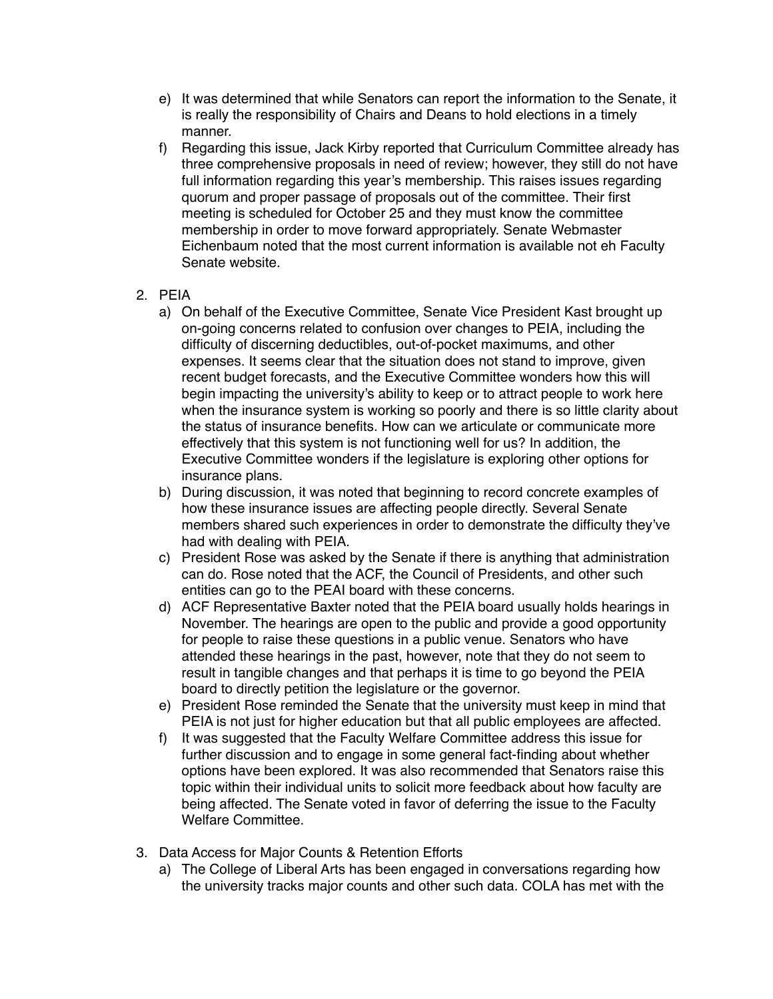- e) It was determined that while Senators can report the information to the Senate, it is really the responsibility of Chairs and Deans to hold elections in a timely manner.
- f) Regarding this issue, Jack Kirby reported that Curriculum Committee already has three comprehensive proposals in need of review; however, they still do not have full information regarding this year's membership. This raises issues regarding quorum and proper passage of proposals out of the committee. Their first meeting is scheduled for October 25 and they must know the committee membership in order to move forward appropriately. Senate Webmaster Eichenbaum noted that the most current information is available not eh Faculty Senate website.
- 2. PEIA
	- a) On behalf of the Executive Committee, Senate Vice President Kast brought up on-going concerns related to confusion over changes to PEIA, including the difficulty of discerning deductibles, out-of-pocket maximums, and other expenses. It seems clear that the situation does not stand to improve, given recent budget forecasts, and the Executive Committee wonders how this will begin impacting the university's ability to keep or to attract people to work here when the insurance system is working so poorly and there is so little clarity about the status of insurance benefits. How can we articulate or communicate more effectively that this system is not functioning well for us? In addition, the Executive Committee wonders if the legislature is exploring other options for insurance plans.
	- b) During discussion, it was noted that beginning to record concrete examples of how these insurance issues are affecting people directly. Several Senate members shared such experiences in order to demonstrate the difficulty they've had with dealing with PEIA.
	- c) President Rose was asked by the Senate if there is anything that administration can do. Rose noted that the ACF, the Council of Presidents, and other such entities can go to the PEAI board with these concerns.
	- d) ACF Representative Baxter noted that the PEIA board usually holds hearings in November. The hearings are open to the public and provide a good opportunity for people to raise these questions in a public venue. Senators who have attended these hearings in the past, however, note that they do not seem to result in tangible changes and that perhaps it is time to go beyond the PEIA board to directly petition the legislature or the governor.
	- e) President Rose reminded the Senate that the university must keep in mind that PEIA is not just for higher education but that all public employees are affected.
	- f) It was suggested that the Faculty Welfare Committee address this issue for further discussion and to engage in some general fact-finding about whether options have been explored. It was also recommended that Senators raise this topic within their individual units to solicit more feedback about how faculty are being affected. The Senate voted in favor of deferring the issue to the Faculty Welfare Committee.
- 3. Data Access for Major Counts & Retention Efforts
	- a) The College of Liberal Arts has been engaged in conversations regarding how the university tracks major counts and other such data. COLA has met with the